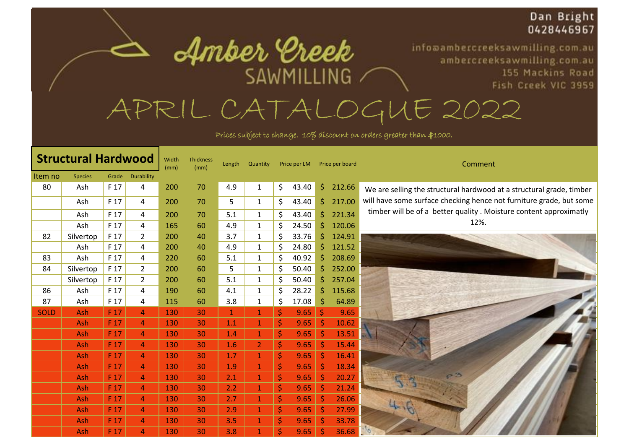## Dan Bright 0428446967

155 Mackins Road Fish Creek VIC 3959

infoaambercreeksawmilling.com.au

ambercreeksawmilling.com.au

APRIL CATALOGUE 2022

SAWMILLING /

Amber Ereek

Prices subject to change. 10% discount on orders greater than \$1000.

| <b>Structural Hardwood</b> |                |                 |                | Width<br>(mm) | <b>Thickness</b><br>(mm) | Length       | Quantity       |    | Price per LM |         | Price per board | Comment                                                              |
|----------------------------|----------------|-----------------|----------------|---------------|--------------------------|--------------|----------------|----|--------------|---------|-----------------|----------------------------------------------------------------------|
| Item no                    | <b>Species</b> | Grade           | Durability     |               |                          |              |                |    |              |         |                 |                                                                      |
| 80                         | Ash            | F 17            | 4              | 200           | 70                       | 4.9          | $\mathbf{1}$   | \$ | 43.40        | \$.     | 212.66          | We are selling the structural hardwood at a structural grade, timber |
|                            | Ash            | F 17            | 4              | 200           | 70                       | 5            | $\mathbf{1}$   | \$ | 43.40        | Ŝ.      | 217.00          | will have some surface checking hence not furniture grade, but some  |
|                            | Ash            | F 17            | 4              | 200           | 70                       | 5.1          | 1              | \$ | 43.40        | Ś.      | 221.34          | timber will be of a better quality. Moisture content approximatly    |
|                            | Ash            | F 17            | 4              | 165           | 60                       | 4.9          | $\mathbf{1}$   | Ś  | 24.50        | Ś.      | 120.06          | 12%.                                                                 |
| 82                         | Silvertop      | F 17            | $\overline{2}$ | 200           | 40                       | 3.7          | 1              | Ś. | 33.76        | Ś       | 124.91          |                                                                      |
|                            | Ash            | F 17            | 4              | 200           | 40                       | 4.9          | $\mathbf{1}$   | Ś  | 24.80        | Ŝ       | 121.52          |                                                                      |
| 83                         | Ash            | F 17            | 4              | 220           | 60                       | 5.1          | $\mathbf{1}$   | \$ | 40.92        | Ŝ       | 208.69          |                                                                      |
| 84                         | Silvertop      | F 17            | $\overline{2}$ | 200           | 60                       | 5            | $\mathbf{1}$   | \$ | 50.40        | Ś       | 252.00          |                                                                      |
|                            | Silvertop      | F 17            | $\overline{2}$ | 200           | 60                       | 5.1          | $\mathbf{1}$   | Ś  | 50.40        | Ś       | 257.04          |                                                                      |
| 86                         | Ash            | F 17            | 4              | 190           | 60                       | 4.1          | $\mathbf{1}$   | \$ | 28.22        | \$      | 115.68          |                                                                      |
| 87                         | Ash            | F 17            | 4              | 115           | 60                       | 3.8          | 1              | \$ | 17.08        | Ŝ       | 64.89           |                                                                      |
| <b>SOLD</b>                | Ash            | F 17            | $\overline{4}$ | 130           | 30                       | $\mathbf{1}$ | $\mathbf{1}$   | \$ | 9.65         | $\zeta$ | 9.65            |                                                                      |
|                            | Ash            | F <sub>17</sub> | $\overline{4}$ | 130           | 30                       | 1.1          | $\mathbf{1}$   | \$ | 9.65         | .S      | 10.62           |                                                                      |
|                            | Ash            | F 17            | $\overline{4}$ | 130           | 30                       | 1.4          | $\mathbf{1}$   | \$ | 9.65         |         | 13.51           |                                                                      |
|                            | Ash            | F <sub>17</sub> | 4              | 130           | 30                       | 1.6          | $\overline{2}$ | \$ | 9.65         | Š       | 15.44           |                                                                      |
|                            | Ash            | F 17            | $\overline{4}$ | 130           | 30                       | 1.7          | $\mathbf{1}$   | \$ | 9.65         | .S      | 16.41           |                                                                      |
|                            | <b>Ash</b>     | F 17            | $\overline{4}$ | 130           | 30                       | 1.9          | $\mathbf{1}$   | \$ | 9.65         | Ś       | 18.34           |                                                                      |
|                            | Ash            | F 17            | $\overline{4}$ | 130           | 30                       | 2.1          | $\mathbf{1}$   | \$ | 9.65         |         | 20.27           |                                                                      |
|                            | <b>Ash</b>     | F 17            | $\overline{4}$ | 130           | 30                       | 2.2          | $\mathbf{1}$   | \$ | 9.65         | .S      | 21.24           |                                                                      |
|                            | Ash            | F <sub>17</sub> | $\overline{4}$ | 130           | 30                       | 2.7          | $\mathbf{1}$   | \$ | 9.65         | S       | 26.06           |                                                                      |
|                            | <b>Ash</b>     | F 17            | $\overline{4}$ | 130           | 30                       | 2.9          | $\mathbf{1}$   | \$ | 9.65         |         | 27.99           |                                                                      |
|                            | Ash            | F 17            | 4              | 130           | 30                       | 3.5          | $\mathbf{1}$   | \$ | 9.65         |         | 33.78           |                                                                      |
|                            | Ash            | F 17            | 4              | 130           | 30                       | 3.8          |                | \$ | 9.65         |         | 36.68           |                                                                      |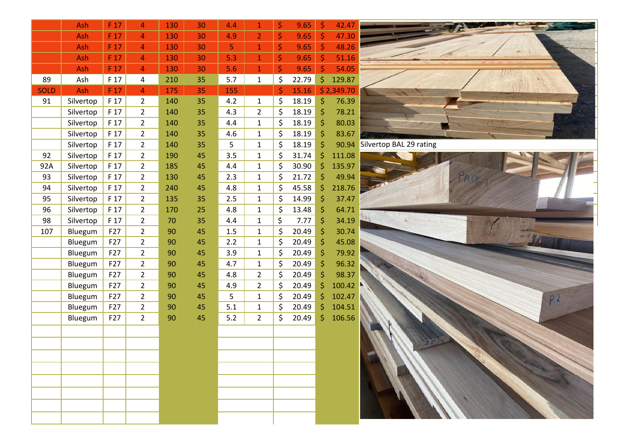|             | Ash       | F 17 | 4              | 130 | 30 | 4.4 | $\mathbf 1$    | \$      | 9.65  | \$      | 42.47      |                               |
|-------------|-----------|------|----------------|-----|----|-----|----------------|---------|-------|---------|------------|-------------------------------|
|             | Ash       | F 17 | $\overline{4}$ | 130 | 30 | 4.9 | $\overline{2}$ | \$      | 9.65  |         | 47.30      |                               |
|             | Ash       | F 17 | $\overline{4}$ | 130 | 30 | 5   | $\mathbf{1}$   | \$      | 9.65  | \$      | 48.26      |                               |
|             | Ash       | F 17 | $\overline{4}$ | 130 | 30 | 5.3 | $\mathbf{1}$   | \$      | 9.65  | Ś       | 51.16      |                               |
|             | Ash       | F 17 | $\overline{4}$ | 130 | 30 | 5.6 | $\mathbf{1}$   | \$      | 9.65  | $\zeta$ | 54.05      |                               |
| 89          | Ash       | F 17 | 4              | 210 | 35 | 5.7 | $\mathbf 1$    | $\zeta$ | 22.79 | \$      | 129.87     |                               |
| <b>SOLD</b> | Ash       | F 17 | $\overline{4}$ | 175 | 35 | 155 |                | \$      | 15.16 |         | \$2,349.70 |                               |
| 91          | Silvertop | F 17 | $\overline{2}$ | 140 | 35 | 4.2 | $\mathbf{1}$   | \$      | 18.19 | \$.     | 76.39      |                               |
|             | Silvertop | F 17 | $\overline{2}$ | 140 | 35 | 4.3 | $\overline{2}$ | \$      | 18.19 |         | 78.21      |                               |
|             | Silvertop | F 17 | $\overline{2}$ | 140 | 35 | 4.4 | $\mathbf{1}$   | \$      | 18.19 | \$      | 80.03      |                               |
|             | Silvertop | F 17 | $\overline{2}$ | 140 | 35 | 4.6 | $\mathbf 1$    | \$      | 18.19 | \$      | 83.67      |                               |
|             | Silvertop | F 17 | $\overline{2}$ | 140 | 35 | 5   | $\mathbf{1}$   | $\zeta$ | 18.19 | \$      |            | 90.94 Silvertop BAL 29 rating |
| 92          | Silvertop | F 17 | $\overline{2}$ | 190 | 45 | 3.5 | $\mathbf 1$    | \$      | 31.74 | \$      | 111.08     |                               |
| 92A         | Silvertop | F 17 | $\overline{2}$ | 185 | 45 | 4.4 | $\mathbf{1}$   | \$      | 30.90 | \$      | 135.97     |                               |
| 93          | Silvertop | F 17 | $\overline{2}$ | 130 | 45 | 2.3 | $\mathbf{1}$   | \$      | 21.72 | \$      | 49.94      |                               |
| 94          | Silvertop | F 17 | $\overline{2}$ | 240 | 45 | 4.8 | $\mathbf{1}$   | \$      | 45.58 | ς       | 218.76     |                               |
| 95          | Silvertop | F 17 | $\overline{2}$ | 135 | 35 | 2.5 | $\mathbf{1}$   | \$      | 14.99 | \$      | 37.47      |                               |
| 96          | Silvertop | F 17 | $\overline{2}$ | 170 | 25 | 4.8 | $\mathbf{1}$   | \$      | 13.48 | \$      | 64.71      |                               |
| 98          | Silvertop | F 17 | $\overline{2}$ | 70  | 35 | 4.4 | $\mathbf{1}$   | \$      | 7.77  | Ś       | 34.19      |                               |
| 107         | Bluegum   | F27  | $\overline{2}$ | 90  | 45 | 1.5 | $\mathbf{1}$   | \$      | 20.49 | Ş       | 30.74      |                               |
|             | Bluegum   | F27  | $\overline{2}$ | 90  | 45 | 2.2 | $\mathbf{1}$   | \$      | 20.49 |         | 45.08      |                               |
|             | Bluegum   | F27  | $\overline{2}$ | 90  | 45 | 3.9 | $\mathbf{1}$   | \$      | 20.49 |         | 79.92      |                               |
|             | Bluegum   | F27  | $\overline{2}$ | 90  | 45 | 4.7 | $\mathbf{1}$   | \$      | 20.49 |         | 96.32      |                               |
|             | Bluegum   | F27  | $\overline{2}$ | 90  | 45 | 4.8 | $\overline{2}$ | \$      | 20.49 | Ś       | 98.37      |                               |
|             | Bluegum   | F27  | $\overline{2}$ | 90  | 45 | 4.9 | $\overline{2}$ | \$      | 20.49 | \$      | 100.42     |                               |
|             | Bluegum   | F27  | $\overline{2}$ | 90  | 45 | 5   | $\mathbf{1}$   | \$      | 20.49 | \$      | 102.47     | P <sub>2</sub>                |
|             | Bluegum   | F27  | $\overline{2}$ | 90  | 45 | 5.1 | $\mathbf 1$    | \$      | 20.49 | \$      | 104.51     |                               |
|             | Bluegum   | F27  | $\overline{2}$ | 90  | 45 | 5.2 | $\overline{2}$ | \$      | 20.49 | \$.     | 106.56     |                               |
|             |           |      |                |     |    |     |                |         |       |         |            |                               |
|             |           |      |                |     |    |     |                |         |       |         |            |                               |
|             |           |      |                |     |    |     |                |         |       |         |            |                               |
|             |           |      |                |     |    |     |                |         |       |         |            |                               |
|             |           |      |                |     |    |     |                |         |       |         |            |                               |
|             |           |      |                |     |    |     |                |         |       |         |            |                               |
|             |           |      |                |     |    |     |                |         |       |         |            |                               |
|             |           |      |                |     |    |     |                |         |       |         |            |                               |
|             |           |      |                |     |    |     |                |         |       |         |            |                               |
|             |           |      |                |     |    |     |                |         |       |         |            |                               |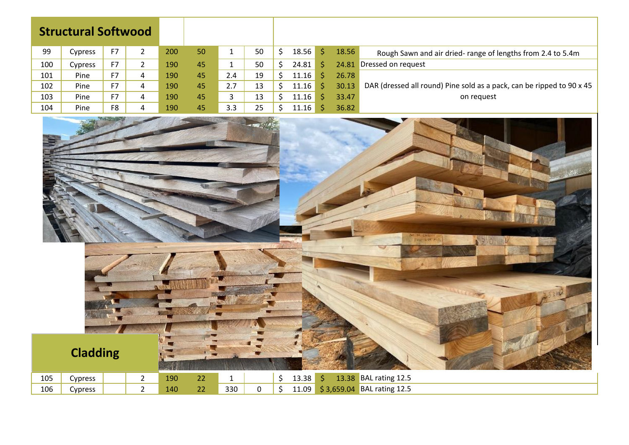|  |  | <b>Structural Softwood</b> |
|--|--|----------------------------|
|--|--|----------------------------|

| 99  | Cypress |           |   | 200 | 50 |     | 50 | 18.56 | 18.56 | Rough Sawn and air dried- range of lengths from 2.4 to 5.4m           |
|-----|---------|-----------|---|-----|----|-----|----|-------|-------|-----------------------------------------------------------------------|
| 100 | Cypress | <b>F7</b> |   | 190 | 45 |     | 50 | 24.81 |       | 24.81 Dressed on request                                              |
| 101 | Pine    | F7        | 4 | 190 | 45 | 2.4 | 19 | 11.16 | 26.78 |                                                                       |
| 102 | Pine    | F7        | 4 | 190 | 45 | 2.7 | 13 | 11.16 | 30.13 | DAR (dressed all round) Pine sold as a pack, can be ripped to 90 x 45 |
| 103 | Pine    | F7        | 4 | 190 | 45 | ٠   | 13 | 11.16 | 33.47 | on request                                                            |
| 104 | Pine    | F8        | 4 | 190 | 45 | 3.3 | 25 | 11.16 | 36.82 |                                                                       |

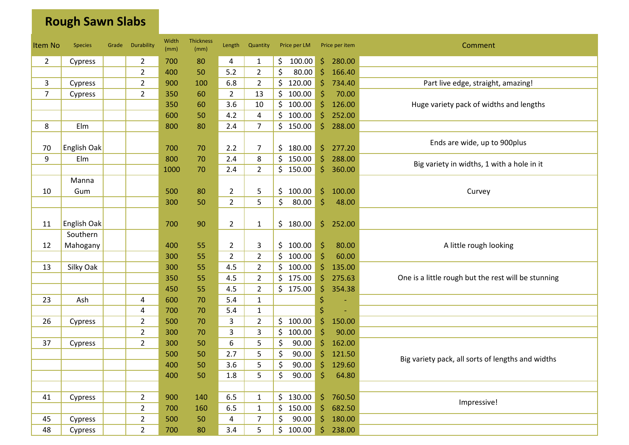## **Rough Sawn Slabs**

| <b>Item No</b> | <b>Species</b> | Grade | Durability     | Width<br>(mm) | <b>Thickness</b><br>(mm) | Length         | Quantity       | Price per LM  |                    | Price per item | Comment                                             |
|----------------|----------------|-------|----------------|---------------|--------------------------|----------------|----------------|---------------|--------------------|----------------|-----------------------------------------------------|
| $\overline{2}$ | Cypress        |       | $\overline{2}$ | 700           | 80                       | 4              | $\mathbf{1}$   | \$.<br>100.00 | \$.                | 280.00         |                                                     |
|                |                |       | $\overline{2}$ | 400           | 50                       | 5.2            | $\overline{2}$ | \$<br>80.00   | \$                 | 166.40         |                                                     |
| 3              | Cypress        |       | $\overline{2}$ | 900           | 100                      | 6.8            | $\overline{2}$ | \$<br>120.00  | \$                 | 734.40         | Part live edge, straight, amazing!                  |
| $\overline{7}$ | Cypress        |       | $\overline{2}$ | 350           | 60                       | $\overline{2}$ | 13             | \$<br>100.00  | \$                 | 70.00          |                                                     |
|                |                |       |                | 350           | 60                       | 3.6            | 10             | \$<br>100.00  | $\zeta$            | 126.00         | Huge variety pack of widths and lengths             |
|                |                |       |                | 600           | 50                       | 4.2            | 4              | 100.00<br>\$. | $\zeta$            | 252.00         |                                                     |
| 8              | Elm            |       |                | 800           | 80                       | 2.4            | $\overline{7}$ | \$150.00      | \$                 | 288.00         |                                                     |
|                |                |       |                |               |                          |                |                |               |                    |                |                                                     |
| 70             | English Oak    |       |                | 700           | 70                       | 2.2            | $\overline{7}$ | \$<br>180.00  | \$                 | 277.20         | Ends are wide, up to 900plus                        |
| 9              | Elm            |       |                | 800           | 70                       | 2.4            | 8              | \$<br>150.00  | $\zeta$            | 288.00         |                                                     |
|                |                |       |                | 1000          | 70                       | 2.4            | $\overline{2}$ | \$150.00      | \$                 | 360.00         | Big variety in widths, 1 with a hole in it          |
|                | Manna          |       |                |               |                          |                |                |               |                    |                |                                                     |
| 10             | Gum            |       |                | 500           | 80                       | $\overline{2}$ | 5              | 100.00<br>\$. | \$                 | 100.00         | Curvey                                              |
|                |                |       |                | 300           | 50                       | $\overline{2}$ | 5              | \$<br>80.00   | \$                 | 48.00          |                                                     |
|                |                |       |                |               |                          |                |                |               |                    |                |                                                     |
| 11             | English Oak    |       |                | 700           | 90                       | $\overline{2}$ | $\mathbf{1}$   | \$.<br>180.00 | \$.                | 252.00         |                                                     |
|                | Southern       |       |                |               |                          |                |                |               |                    |                |                                                     |
| 12             | Mahogany       |       |                | 400           | 55                       | $\overline{2}$ | 3              | \$<br>100.00  | \$                 | 80.00          | A little rough looking                              |
|                |                |       |                | 300           | 55                       | $\overline{2}$ | $\overline{2}$ | \$.<br>100.00 | Ŝ                  | 60.00          |                                                     |
| 13             | Silky Oak      |       |                | 300           | 55                       | 4.5            | $\overline{2}$ | \$.<br>100.00 | \$                 | 135.00         |                                                     |
|                |                |       |                | 350           | 55                       | 4.5            | $\overline{2}$ | \$<br>175.00  | \$                 | 275.63         | One is a little rough but the rest will be stunning |
|                |                |       |                | 450           | 55                       | 4.5            | $\overline{2}$ | \$175.00      | \$                 | 354.38         |                                                     |
| 23             | Ash            |       | 4              | 600           | 70                       | 5.4            | $\mathbf{1}$   |               | \$                 |                |                                                     |
|                |                |       | 4              | 700           | 70                       | 5.4            | $\mathbf{1}$   |               | \$                 |                |                                                     |
| 26             | Cypress        |       | $\overline{2}$ | 500           | 70                       | 3              | $\overline{2}$ | \$100.00      | \$                 | 150.00         |                                                     |
|                |                |       | $\overline{2}$ | 300           | 70                       | 3              | 3              | \$<br>100.00  | $\mathsf{\hat{S}}$ | 90.00          |                                                     |
| 37             | Cypress        |       | $\overline{2}$ | 300           | 50                       | 6              | 5              | \$<br>90.00   | \$                 | 162.00         |                                                     |
|                |                |       |                | 500           | 50                       | 2.7            | 5              | \$<br>90.00   | \$                 | 121.50         |                                                     |
|                |                |       |                | 400           | 50                       | 3.6            | 5              | \$<br>90.00   | \$                 | 129.60         | Big variety pack, all sorts of lengths and widths   |
|                |                |       |                | 400           | 50                       | 1.8            | 5              | \$<br>90.00   | \$                 | 64.80          |                                                     |
|                |                |       |                |               |                          |                |                |               |                    |                |                                                     |
| 41             | Cypress        |       | $\overline{2}$ | 900           | 140                      | 6.5            | $\mathbf{1}$   | \$130.00      |                    | \$760.50       |                                                     |
|                |                |       | $\overline{2}$ | 700           | 160                      | 6.5            | $\mathbf{1}$   | \$<br>150.00  | \$                 | 682.50         | Impressive!                                         |
| 45             | Cypress        |       | $\overline{2}$ | 500           | 50                       | 4              | 7              | 90.00<br>\$   | $\mathsf{S}$       | 180.00         |                                                     |
| 48             | Cypress        |       | $\overline{2}$ | 700           | 80                       | 3.4            | 5              | \$<br>100.00  | Ŝ.                 | 238.00         |                                                     |